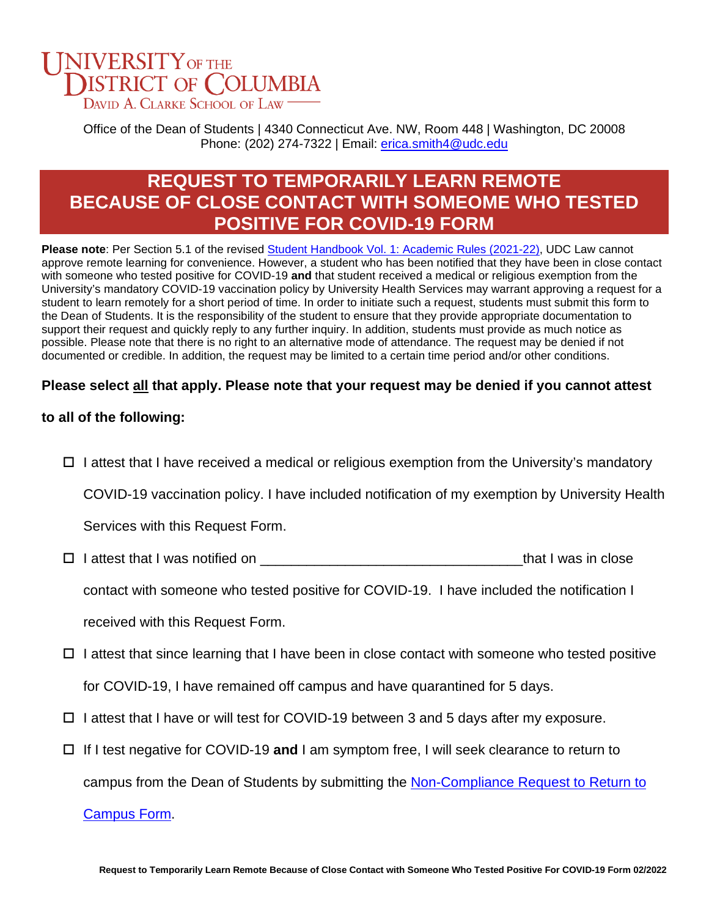## **NIVERSITY OF THE DISTRICT OF COLUMBIA** DAVID A. CLARKE SCHOOL OF LAW

Office of the Dean of Students | 4340 Connecticut Ave. NW, Room 448 | Washington, DC 20008 Phone: (202) 274-7322 | Email: [erica.smith4@udc.edu](mailto:erica.smith4@udc.edu)

# **REQUEST TO TEMPORARILY LEARN REMOTE BECAUSE OF CLOSE CONTACT WITH SOMEOME WHO TESTED POSITIVE FOR COVID-19 FORM**

**Please note**: Per Section 5.1 of the revised [Student Handbook Vol. 1: Academic Rules \(2021-22\),](mailto:https://law.udc.edu/wp-content/uploads/2021/12/Student_Handbook_Vol_I_2021.pdf) UDC Law cannot approve remote learning for convenience. However, a student who has been notified that they have been in close contact with someone who tested positive for COVID-19 **and** that student received a medical or religious exemption from the University's mandatory COVID-19 vaccination policy by University Health Services may warrant approving a request for a student to learn remotely for a short period of time. In order to initiate such a request, students must submit this form to the Dean of Students. It is the responsibility of the student to ensure that they provide appropriate documentation to support their request and quickly reply to any further inquiry. In addition, students must provide as much notice as possible. Please note that there is no right to an alternative mode of attendance. The request may be denied if not documented or credible. In addition, the request may be limited to a certain time period and/or other conditions.

## **Please select all that apply. Please note that your request may be denied if you cannot attest**

## **to all of the following:**

 $\Box$  I attest that I have received a medical or religious exemption from the University's mandatory

COVID-19 vaccination policy. I have included notification of my exemption by University Health

Services with this Request Form.

 $\Box$  I attest that I was notified on  $\Box$  is a set of the set of the set of that I was in close

contact with someone who tested positive for COVID-19. I have included the notification I

received with this Request Form.

- $\Box$  I attest that since learning that I have been in close contact with someone who tested positive for COVID-19, I have remained off campus and have quarantined for 5 days.
- $\Box$  I attest that I have or will test for COVID-19 between 3 and 5 days after my exposure.
- If I test negative for COVID-19 **and** I am symptom free, I will seek clearance to return to campus from the Dean of Students by submitting the [Non-Compliance Request to Return to](https://law.udc.edu/wp-content/uploads/2022/02/Non-Compliance-Request-to-Return-to-Campus-Form_Fillable.pdf)

[Campus Form.](https://law.udc.edu/wp-content/uploads/2022/02/Non-Compliance-Request-to-Return-to-Campus-Form_Fillable.pdf)